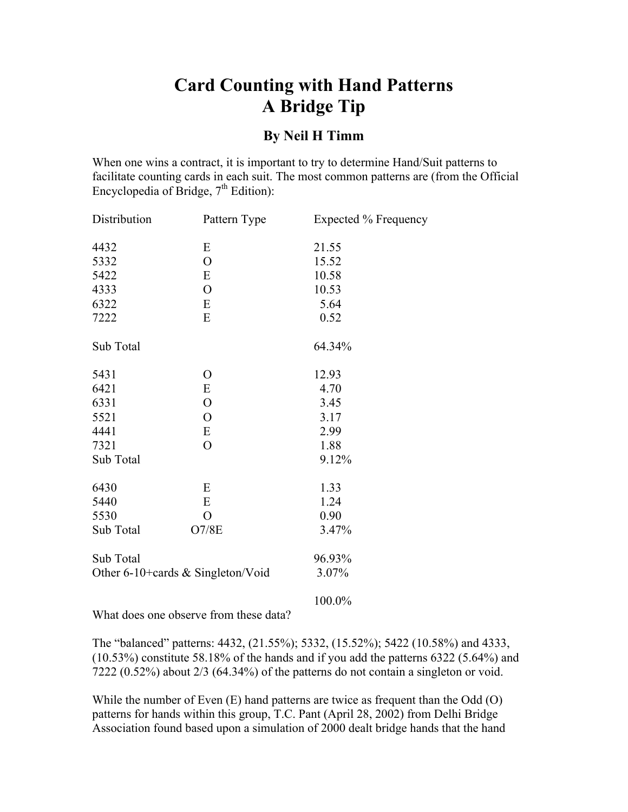## **Card Counting with Hand Patterns A Bridge Tip**

## **By Neil H Timm**

When one wins a contract, it is important to try to determine Hand/Suit patterns to facilitate counting cards in each suit. The most common patterns are (from the Official Encyclopedia of Bridge,  $7<sup>th</sup>$  Edition):

| Distribution                      | Pattern Type   | Expected % Frequency |
|-----------------------------------|----------------|----------------------|
| 4432                              | Ε              | 21.55                |
| 5332                              | $\overline{O}$ | 15.52                |
| 5422                              | E              | 10.58                |
| 4333                              | $\mathbf{O}$   | 10.53                |
| 6322                              | E              | 5.64                 |
| 7222                              | E              | 0.52                 |
| Sub Total                         |                | 64.34%               |
| 5431                              | O              | 12.93                |
| 6421                              | E              | 4.70                 |
| 6331                              | $\overline{O}$ | 3.45                 |
| 5521                              | $\overline{O}$ | 3.17                 |
| 4441                              | E              | 2.99                 |
| 7321                              | $\mathcal{O}$  | 1.88                 |
| Sub Total                         |                | 9.12%                |
| 6430                              | E              | 1.33                 |
| 5440                              | E              | 1.24                 |
| 5530                              | $\overline{O}$ | 0.90                 |
| Sub Total                         | O7/8E          | 3.47%                |
| Sub Total                         |                | 96.93%               |
| Other 6-10+cards & Singleton/Void |                | 3.07%                |
|                                   |                |                      |

100.0%

What does one observe from these data?

The "balanced" patterns: 4432, (21.55%); 5332, (15.52%); 5422 (10.58%) and 4333, (10.53%) constitute 58.18% of the hands and if you add the patterns 6322 (5.64%) and 7222 (0.52%) about 2/3 (64.34%) of the patterns do not contain a singleton or void.

While the number of Even (E) hand patterns are twice as frequent than the Odd (O) patterns for hands within this group, T.C. Pant (April 28, 2002) from Delhi Bridge Association found based upon a simulation of 2000 dealt bridge hands that the hand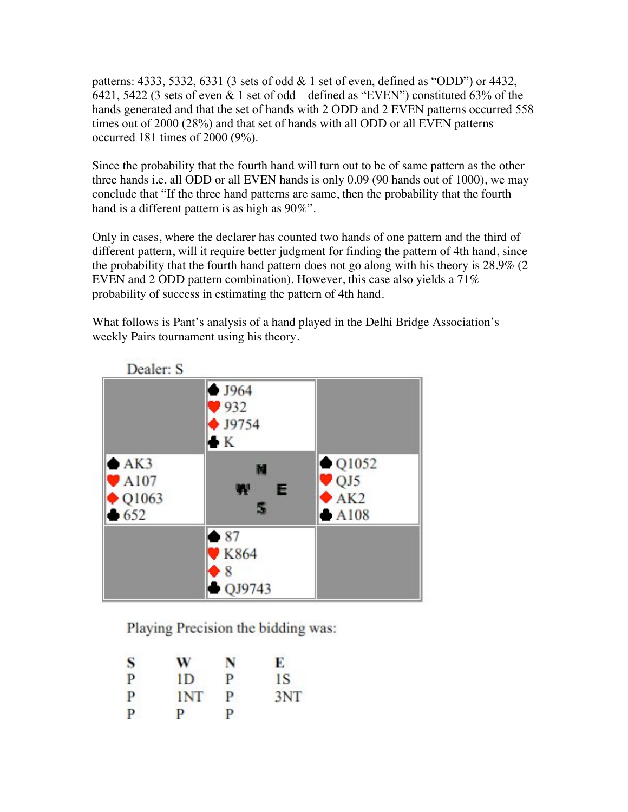patterns: 4333, 5332, 6331 (3 sets of odd  $\&$  1 set of even, defined as "ODD") or 4432, 6421, 5422 (3 sets of even & 1 set of odd – defined as "EVEN") constituted 63% of the hands generated and that the set of hands with 2 ODD and 2 EVEN patterns occurred 558 times out of 2000 (28%) and that set of hands with all ODD or all EVEN patterns occurred 181 times of 2000 (9%).

Since the probability that the fourth hand will turn out to be of same pattern as the other three hands i.e. all ODD or all EVEN hands is only 0.09 (90 hands out of 1000), we may conclude that "If the three hand patterns are same, then the probability that the fourth hand is a different pattern is as high as 90%".

Only in cases, where the declarer has counted two hands of one pattern and the third of different pattern, will it require better judgment for finding the pattern of 4th hand, since the probability that the fourth hand pattern does not go along with his theory is 28.9% (2 EVEN and 2 ODD pattern combination). However, this case also yields a 71% probability of success in estimating the pattern of 4th hand.

What follows is Pant's analysis of a hand played in the Delhi Bridge Association's weekly Pairs tournament using his theory.



Playing Precision the bidding was:

| S | w          | N | Е   |
|---|------------|---|-----|
| P | ID         | P | 1S  |
| P | <b>INT</b> | P | 3NT |
| P | P          | P |     |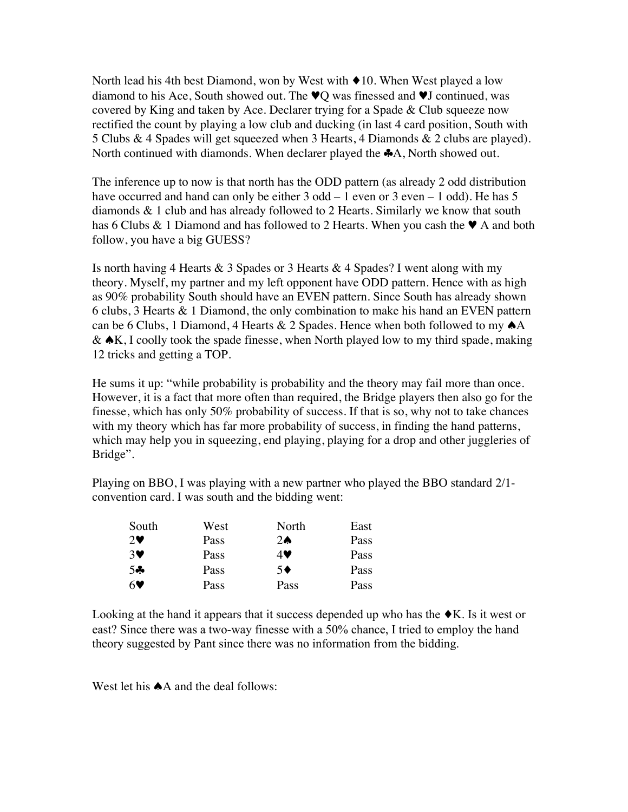North lead his 4th best Diamond, won by West with ♦10. When West played a low diamond to his Ace, South showed out. The ♥Q was finessed and ♥J continued, was covered by King and taken by Ace. Declarer trying for a Spade & Club squeeze now rectified the count by playing a low club and ducking (in last 4 card position, South with 5 Clubs & 4 Spades will get squeezed when 3 Hearts, 4 Diamonds & 2 clubs are played). North continued with diamonds. When declarer played the ♣A, North showed out.

The inference up to now is that north has the ODD pattern (as already 2 odd distribution have occurred and hand can only be either 3 odd – 1 even or 3 even – 1 odd). He has 5 diamonds & 1 club and has already followed to 2 Hearts. Similarly we know that south has 6 Clubs & 1 Diamond and has followed to 2 Hearts. When you cash the  $\blacktriangledown$  A and both follow, you have a big GUESS?

Is north having 4 Hearts  $\&$  3 Spades or 3 Hearts  $\&$  4 Spades? I went along with my theory. Myself, my partner and my left opponent have ODD pattern. Hence with as high as 90% probability South should have an EVEN pattern. Since South has already shown 6 clubs, 3 Hearts & 1 Diamond, the only combination to make his hand an EVEN pattern can be 6 Clubs, 1 Diamond, 4 Hearts & 2 Spades. Hence when both followed to my  $\triangle$ A &  $\triangle K$ , I coolly took the spade finesse, when North played low to my third spade, making 12 tricks and getting a TOP.

He sums it up: "while probability is probability and the theory may fail more than once. However, it is a fact that more often than required, the Bridge players then also go for the finesse, which has only 50% probability of success. If that is so, why not to take chances with my theory which has far more probability of success, in finding the hand patterns, which may help you in squeezing, end playing, playing for a drop and other juggleries of Bridge".

Playing on BBO, I was playing with a new partner who played the BBO standard 2/1 convention card. I was south and the bidding went:

| South                 | West | North         | East |
|-----------------------|------|---------------|------|
| $2\blacktriangledown$ | Pass | $2\spadesuit$ | Pass |
| 3♥                    | Pass | 4V            | Pass |
| 50                    | Pass | $5^{\bullet}$ | Pass |
| 60                    | Pass | Pass          | Pass |

Looking at the hand it appears that it success depended up who has the  $\blacklozenge K$ . Is it west or east? Since there was a two-way finesse with a 50% chance, I tried to employ the hand theory suggested by Pant since there was no information from the bidding.

West let his **♠**A and the deal follows: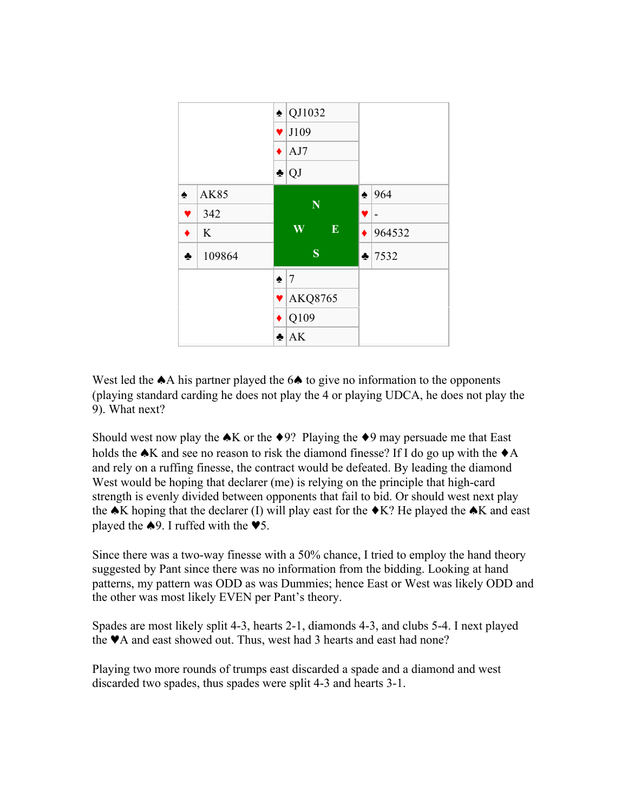

West led the ★A his partner played the 6★ to give no information to the opponents (playing standard carding he does not play the 4 or playing UDCA, he does not play the 9). What next?

Should west now play the  $\triangle K$  or the  $\triangle 9$ ? Playing the  $\triangle 9$  may persuade me that East holds the  $\triangle K$  and see no reason to risk the diamond finesse? If I do go up with the  $\triangle A$ and rely on a ruffing finesse, the contract would be defeated. By leading the diamond West would be hoping that declarer (me) is relying on the principle that high-card strength is evenly divided between opponents that fail to bid. Or should west next play the  $\triangle K$  hoping that the declarer (I) will play east for the  $\triangle K$ ? He played the  $\triangle K$  and east played the  $\triangle 9$ . I ruffed with the  $\blacktriangledown 5$ .

Since there was a two-way finesse with a 50% chance, I tried to employ the hand theory suggested by Pant since there was no information from the bidding. Looking at hand patterns, my pattern was ODD as was Dummies; hence East or West was likely ODD and the other was most likely EVEN per Pant's theory.

Spades are most likely split 4-3, hearts 2-1, diamonds 4-3, and clubs 5-4. I next played the ♥A and east showed out. Thus, west had 3 hearts and east had none?

Playing two more rounds of trumps east discarded a spade and a diamond and west discarded two spades, thus spades were split 4-3 and hearts 3-1.